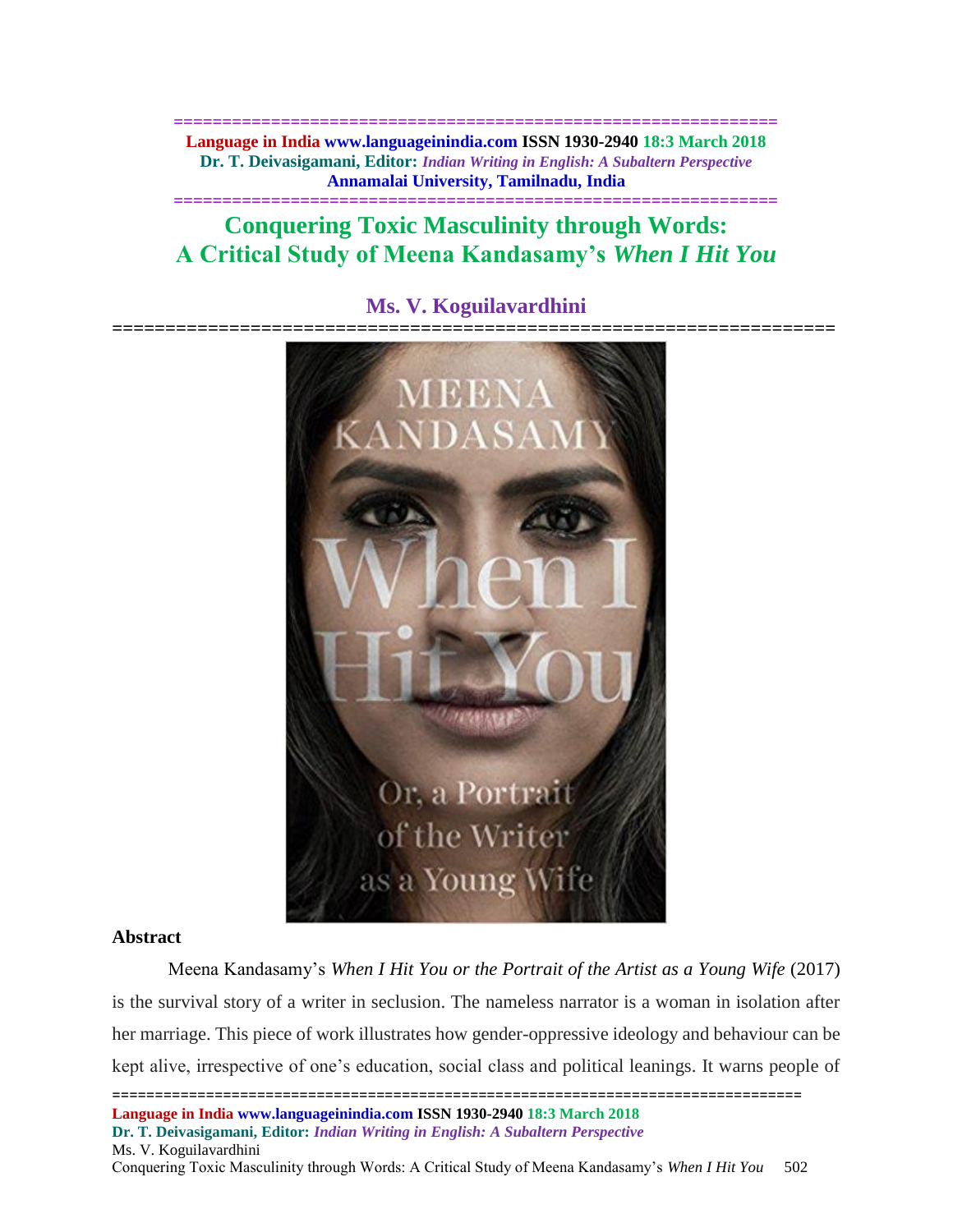**============================================================== Language in India www.languageinindia.com ISSN 1930-2940 18:3 March 2018 Dr. T. Deivasigamani, Editor:** *Indian Writing in English: A Subaltern Perspective* **Annamalai University, Tamilnadu, India**

# **Conquering Toxic Masculinity through Words: A Critical Study of Meena Kandasamy's** *When I Hit You*

**==============================================================**



# **Ms. V. Koguilavardhini**

# **Abstract**

Meena Kandasamy's *When I Hit You or the Portrait of the Artist as a Young Wife* (2017) is the survival story of a writer in seclusion. The nameless narrator is a woman in isolation after her marriage. This piece of work illustrates how gender-oppressive ideology and behaviour can be kept alive, irrespective of one's education, social class and political leanings. It warns people of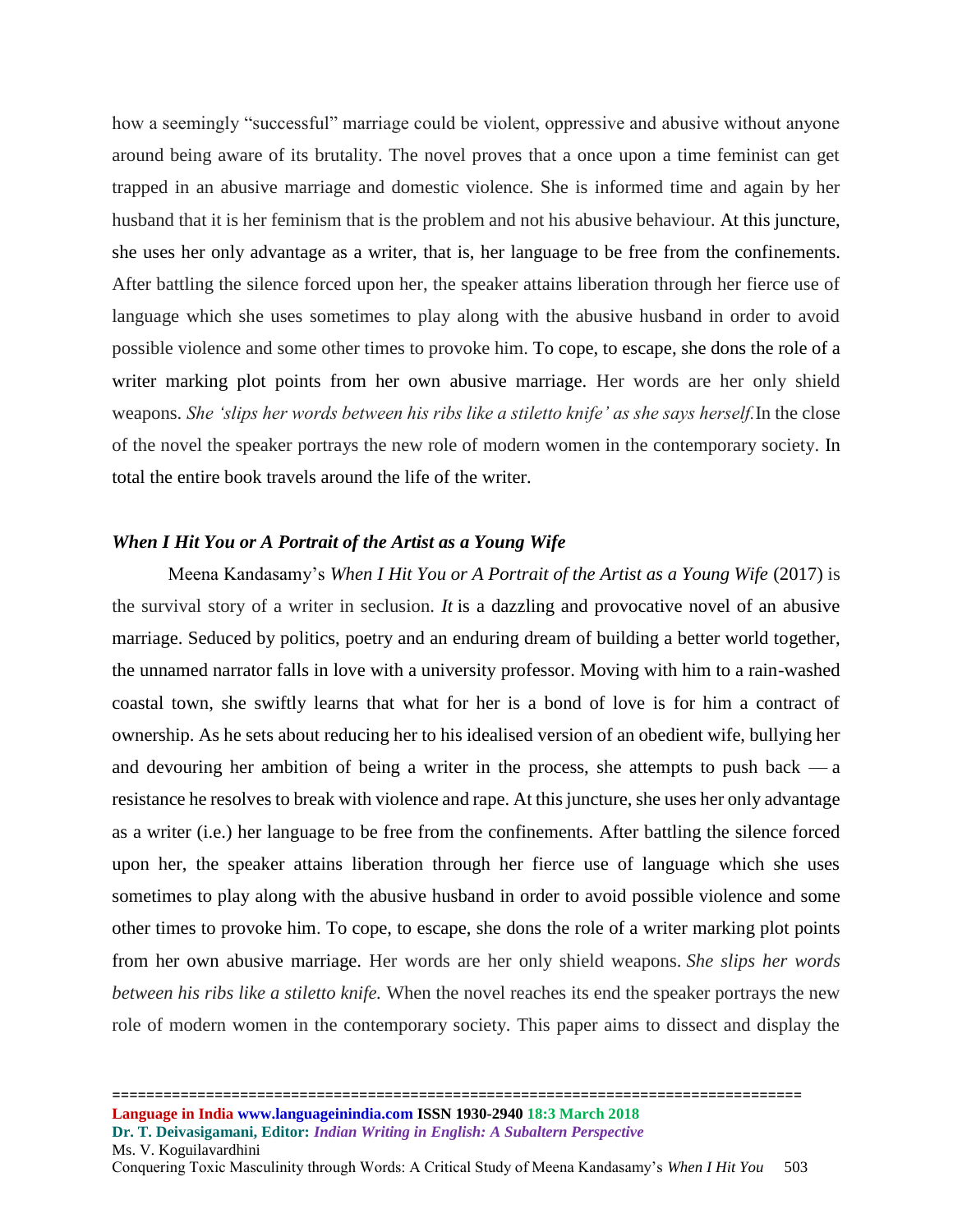how a seemingly "successful" marriage could be violent, oppressive and abusive without anyone around being aware of its brutality. The novel proves that a once upon a time feminist can get trapped in an abusive marriage and domestic violence. She is informed time and again by her husband that it is her feminism that is the problem and not his abusive behaviour. At this juncture, she uses her only advantage as a writer, that is, her language to be free from the confinements. After battling the silence forced upon her, the speaker attains liberation through her fierce use of language which she uses sometimes to play along with the abusive husband in order to avoid possible violence and some other times to provoke him. To cope, to escape, she dons the role of a writer marking plot points from her own abusive marriage. Her words are her only shield weapons. *She 'slips her words between his ribs like a stiletto knife' as she says herself.*In the close of the novel the speaker portrays the new role of modern women in the contemporary society. In total the entire book travels around the life of the writer.

# *When I Hit You or A Portrait of the Artist as a Young Wife*

Meena Kandasamy's *When I Hit You or A Portrait of the Artist as a Young Wife* (2017) is the survival story of a writer in seclusion. *It* is a dazzling and provocative novel of an abusive marriage. Seduced by politics, poetry and an enduring dream of building a better world together, the unnamed narrator falls in love with a university professor. Moving with him to a rain-washed coastal town, she swiftly learns that what for her is a bond of love is for him a contract of ownership. As he sets about reducing her to his idealised version of an obedient wife, bullying her and devouring her ambition of being a writer in the process, she attempts to push back  $-a$ resistance he resolves to break with violence and rape. At this juncture, she uses her only advantage as a writer (i.e.) her language to be free from the confinements. After battling the silence forced upon her, the speaker attains liberation through her fierce use of language which she uses sometimes to play along with the abusive husband in order to avoid possible violence and some other times to provoke him. To cope, to escape, she dons the role of a writer marking plot points from her own abusive marriage. Her words are her only shield weapons. *She slips her words between his ribs like a stiletto knife.* When the novel reaches its end the speaker portrays the new role of modern women in the contemporary society. This paper aims to dissect and display the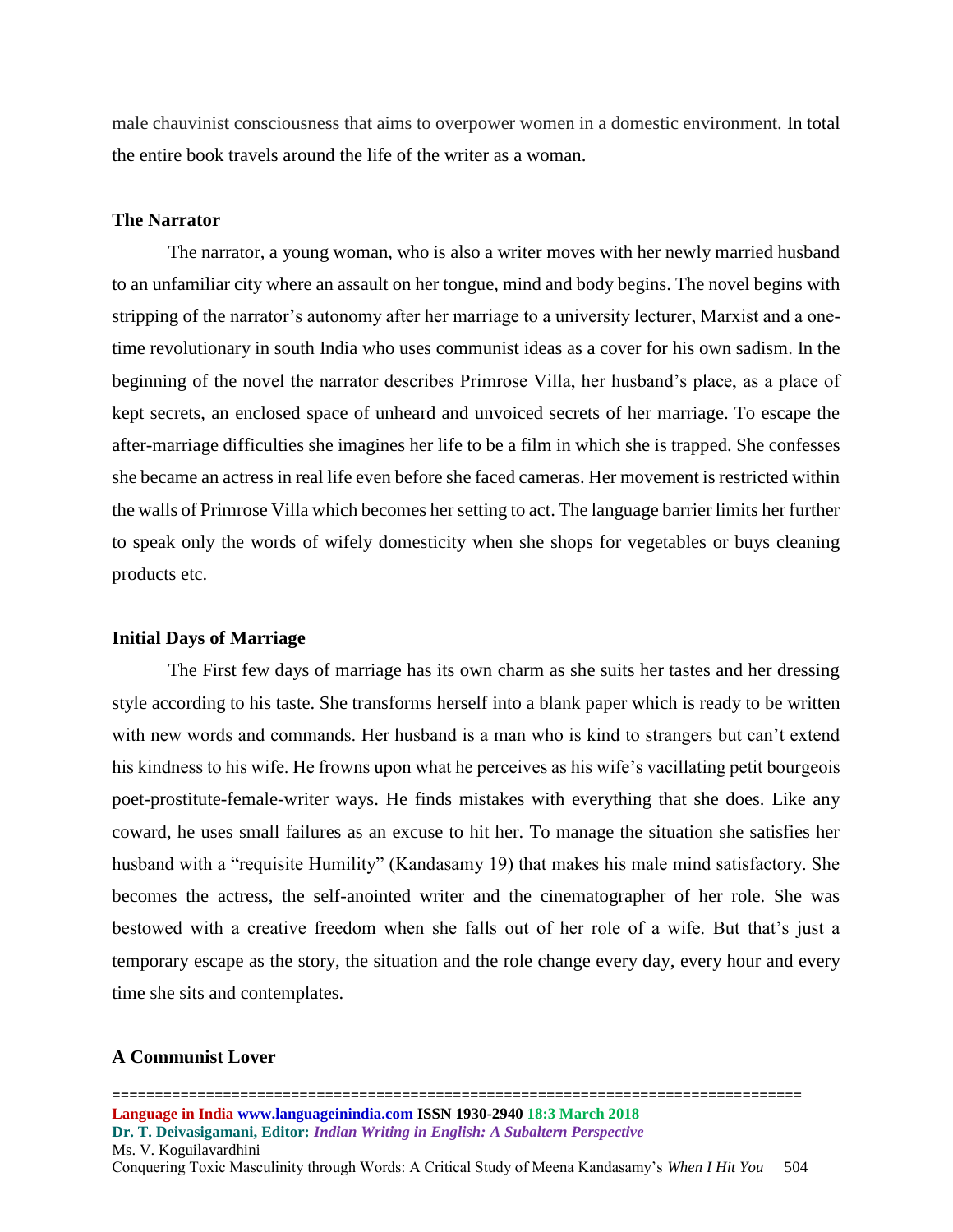male chauvinist consciousness that aims to overpower women in a domestic environment. In total the entire book travels around the life of the writer as a woman.

#### **The Narrator**

The narrator, a young woman, who is also a writer moves with her newly married husband to an unfamiliar city where an assault on her tongue, mind and body begins. The novel begins with stripping of the narrator's autonomy after her marriage to a university lecturer, Marxist and a onetime revolutionary in south [India](https://www.theguardian.com/world/india) who uses communist ideas as a cover for his own sadism. In the beginning of the novel the narrator describes Primrose Villa, her husband's place, as a place of kept secrets, an enclosed space of unheard and unvoiced secrets of her marriage. To escape the after-marriage difficulties she imagines her life to be a film in which she is trapped. She confesses she became an actress in real life even before she faced cameras. Her movement is restricted within the walls of Primrose Villa which becomes her setting to act. The language barrier limits her further to speak only the words of wifely domesticity when she shops for vegetables or buys cleaning products etc.

#### **Initial Days of Marriage**

The First few days of marriage has its own charm as she suits her tastes and her dressing style according to his taste. She transforms herself into a blank paper which is ready to be written with new words and commands. Her husband is a man who is kind to strangers but can't extend his kindness to his wife. He frowns upon what he perceives as his wife's vacillating petit bourgeois poet-prostitute-female-writer ways. He finds mistakes with everything that she does. Like any coward, he uses small failures as an excuse to hit her. To manage the situation she satisfies her husband with a "requisite Humility" (Kandasamy 19) that makes his male mind satisfactory. She becomes the actress, the self-anointed writer and the cinematographer of her role. She was bestowed with a creative freedom when she falls out of her role of a wife. But that's just a temporary escape as the story, the situation and the role change every day, every hour and every time she sits and contemplates.

### **A Communist Lover**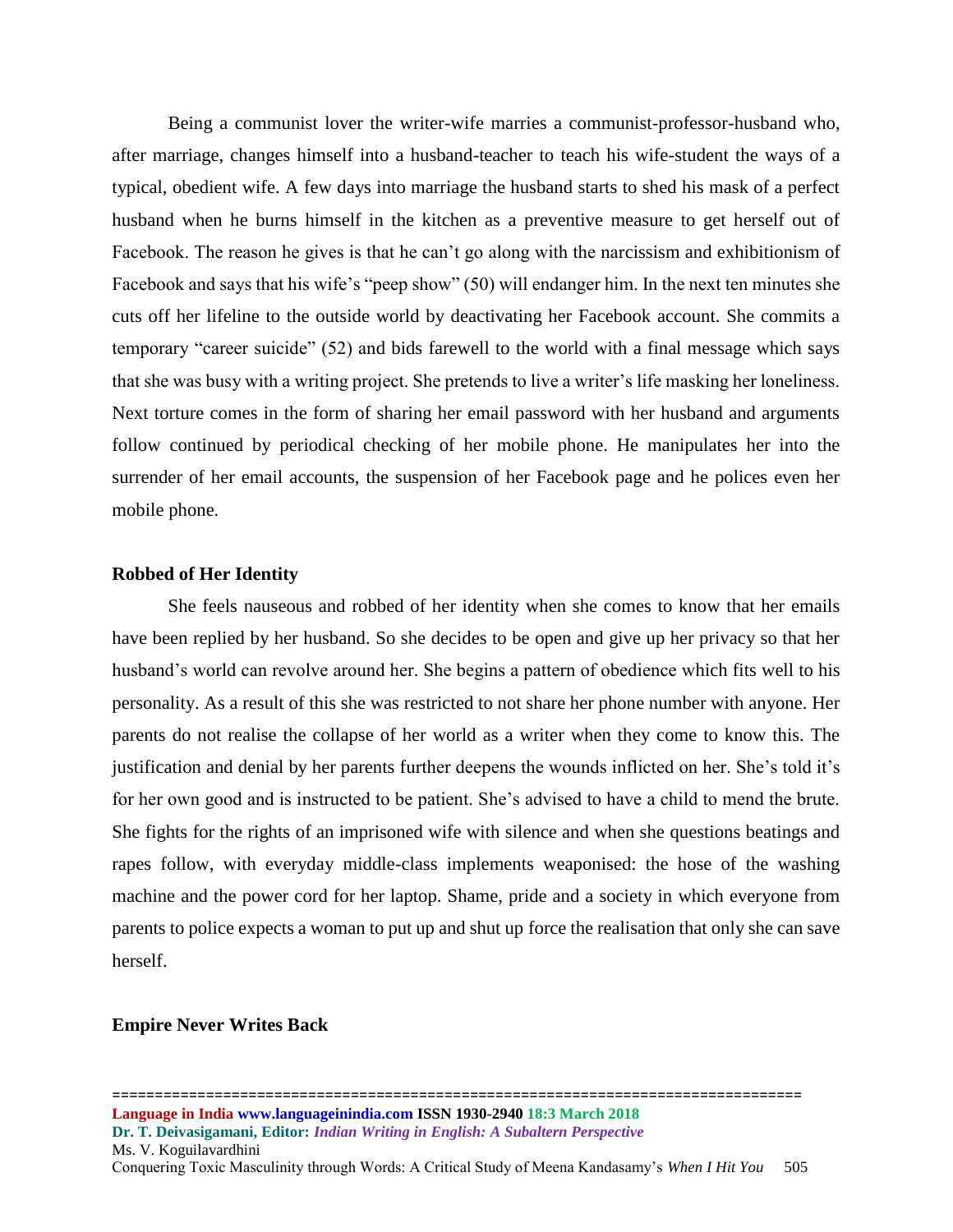Being a communist lover the writer-wife marries a communist-professor-husband who, after marriage, changes himself into a husband-teacher to teach his wife-student the ways of a typical, obedient wife. A few days into marriage the husband starts to shed his mask of a perfect husband when he burns himself in the kitchen as a preventive measure to get herself out of Facebook. The reason he gives is that he can't go along with the narcissism and exhibitionism of Facebook and says that his wife's "peep show" (50) will endanger him. In the next ten minutes she cuts off her lifeline to the outside world by deactivating her Facebook account. She commits a temporary "career suicide" (52) and bids farewell to the world with a final message which says that she was busy with a writing project. She pretends to live a writer's life masking her loneliness. Next torture comes in the form of sharing her email password with her husband and arguments follow continued by periodical checking of her mobile phone. He manipulates her into the surrender of her email accounts, the suspension of her Facebook page and he polices even her mobile phone.

# **Robbed of Her Identity**

She feels nauseous and robbed of her identity when she comes to know that her emails have been replied by her husband. So she decides to be open and give up her privacy so that her husband's world can revolve around her. She begins a pattern of obedience which fits well to his personality. As a result of this she was restricted to not share her phone number with anyone. Her parents do not realise the collapse of her world as a writer when they come to know this. The justification and denial by her parents further deepens the wounds inflicted on her. She's told it's for her own good and is instructed to be patient. She's advised to have a child to mend the brute. She fights for the rights of an imprisoned wife with silence and when she questions beatings and rapes follow, with everyday middle-class implements weaponised: the hose of the washing machine and the power cord for her laptop. Shame, pride and a society in which everyone from parents to police expects a woman to put up and shut up force the realisation that only she can save herself.

# **Empire Never Writes Back**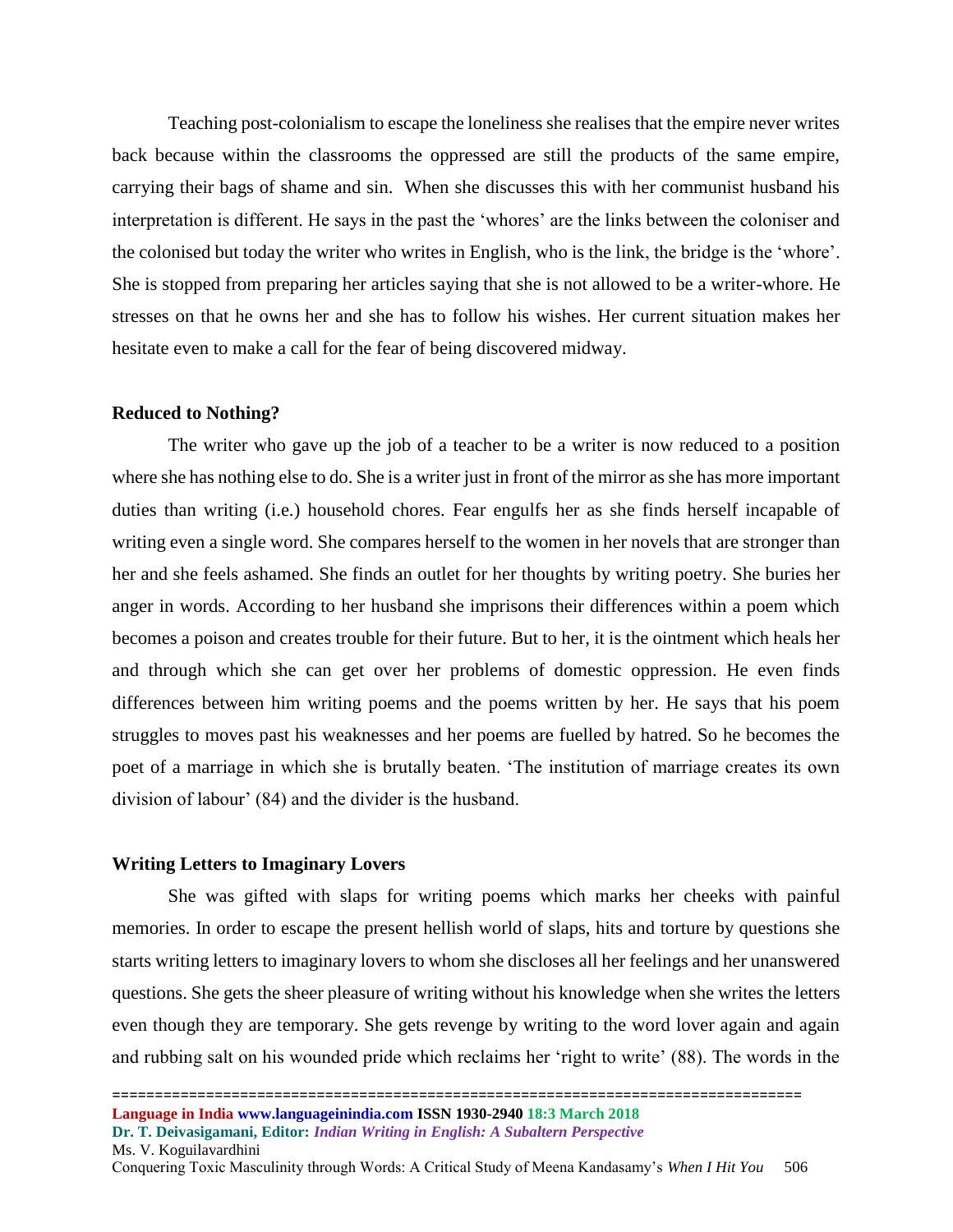Teaching post-colonialism to escape the loneliness she realises that the empire never writes back because within the classrooms the oppressed are still the products of the same empire, carrying their bags of shame and sin. When she discusses this with her communist husband his interpretation is different. He says in the past the 'whores' are the links between the coloniser and the colonised but today the writer who writes in English, who is the link, the bridge is the 'whore'. She is stopped from preparing her articles saying that she is not allowed to be a writer-whore. He stresses on that he owns her and she has to follow his wishes. Her current situation makes her hesitate even to make a call for the fear of being discovered midway.

#### **Reduced to Nothing?**

The writer who gave up the job of a teacher to be a writer is now reduced to a position where she has nothing else to do. She is a writer just in front of the mirror as she has more important duties than writing (i.e.) household chores. Fear engulfs her as she finds herself incapable of writing even a single word. She compares herself to the women in her novels that are stronger than her and she feels ashamed. She finds an outlet for her thoughts by writing poetry. She buries her anger in words. According to her husband she imprisons their differences within a poem which becomes a poison and creates trouble for their future. But to her, it is the ointment which heals her and through which she can get over her problems of domestic oppression. He even finds differences between him writing poems and the poems written by her. He says that his poem struggles to moves past his weaknesses and her poems are fuelled by hatred. So he becomes the poet of a marriage in which she is brutally beaten. 'The institution of marriage creates its own division of labour' (84) and the divider is the husband.

# **Writing Letters to Imaginary Lovers**

She was gifted with slaps for writing poems which marks her cheeks with painful memories. In order to escape the present hellish world of slaps, hits and torture by questions she starts writing letters to imaginary lovers to whom she discloses all her feelings and her unanswered questions. She gets the sheer pleasure of writing without his knowledge when she writes the letters even though they are temporary. She gets revenge by writing to the word lover again and again and rubbing salt on his wounded pride which reclaims her 'right to write' (88). The words in the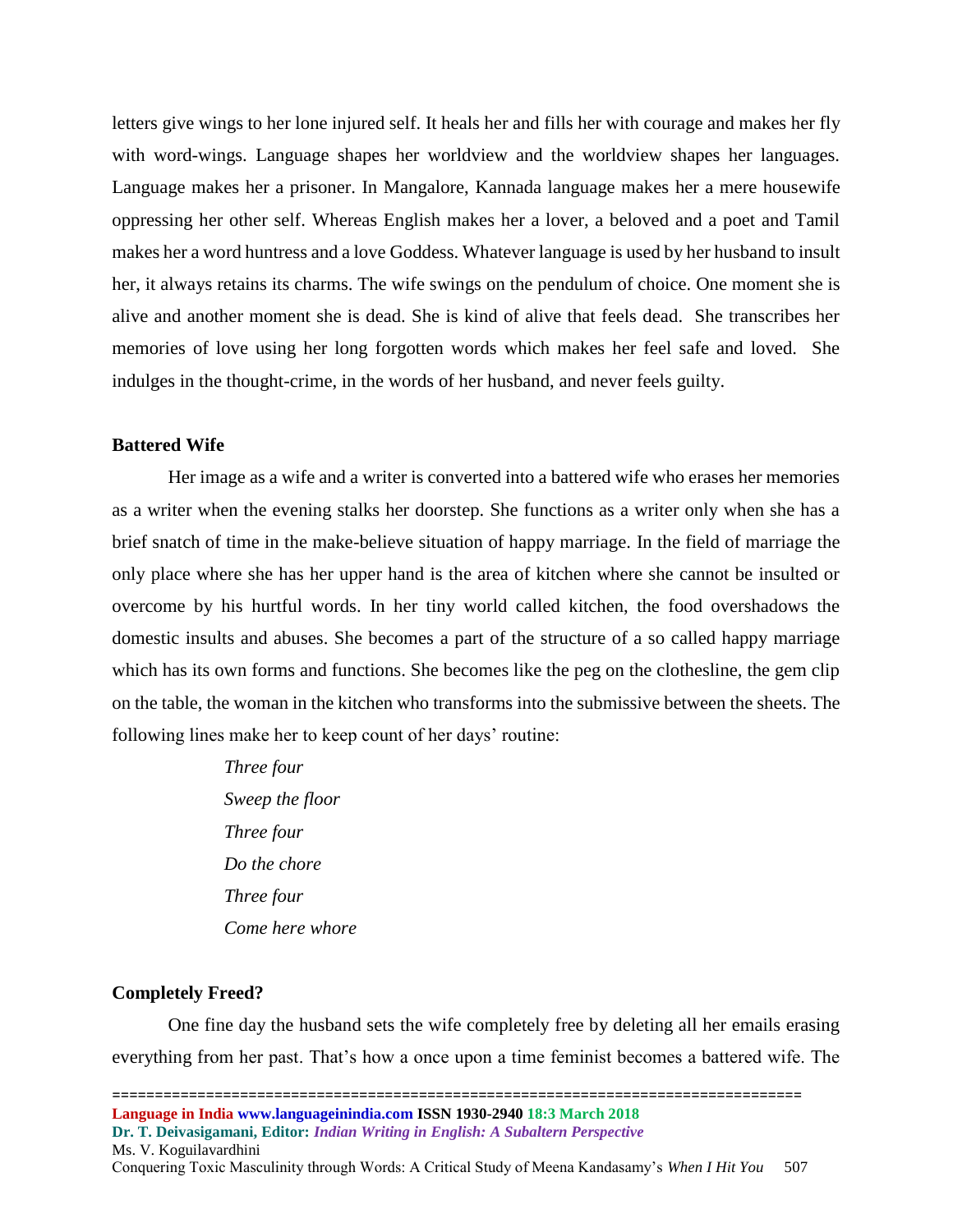letters give wings to her lone injured self. It heals her and fills her with courage and makes her fly with word-wings. Language shapes her worldview and the worldview shapes her languages. Language makes her a prisoner. In Mangalore, Kannada language makes her a mere housewife oppressing her other self. Whereas English makes her a lover, a beloved and a poet and Tamil makes her a word huntress and a love Goddess. Whatever language is used by her husband to insult her, it always retains its charms. The wife swings on the pendulum of choice. One moment she is alive and another moment she is dead. She is kind of alive that feels dead. She transcribes her memories of love using her long forgotten words which makes her feel safe and loved. She indulges in the thought-crime, in the words of her husband, and never feels guilty.

# **Battered Wife**

Her image as a wife and a writer is converted into a battered wife who erases her memories as a writer when the evening stalks her doorstep. She functions as a writer only when she has a brief snatch of time in the make-believe situation of happy marriage. In the field of marriage the only place where she has her upper hand is the area of kitchen where she cannot be insulted or overcome by his hurtful words. In her tiny world called kitchen, the food overshadows the domestic insults and abuses. She becomes a part of the structure of a so called happy marriage which has its own forms and functions. She becomes like the peg on the clothesline, the gem clip on the table, the woman in the kitchen who transforms into the submissive between the sheets. The following lines make her to keep count of her days' routine:

> *Three four Sweep the floor Three four Do the chore Three four Come here whore*

# **Completely Freed?**

One fine day the husband sets the wife completely free by deleting all her emails erasing everything from her past. That's how a once upon a time feminist becomes a battered wife. The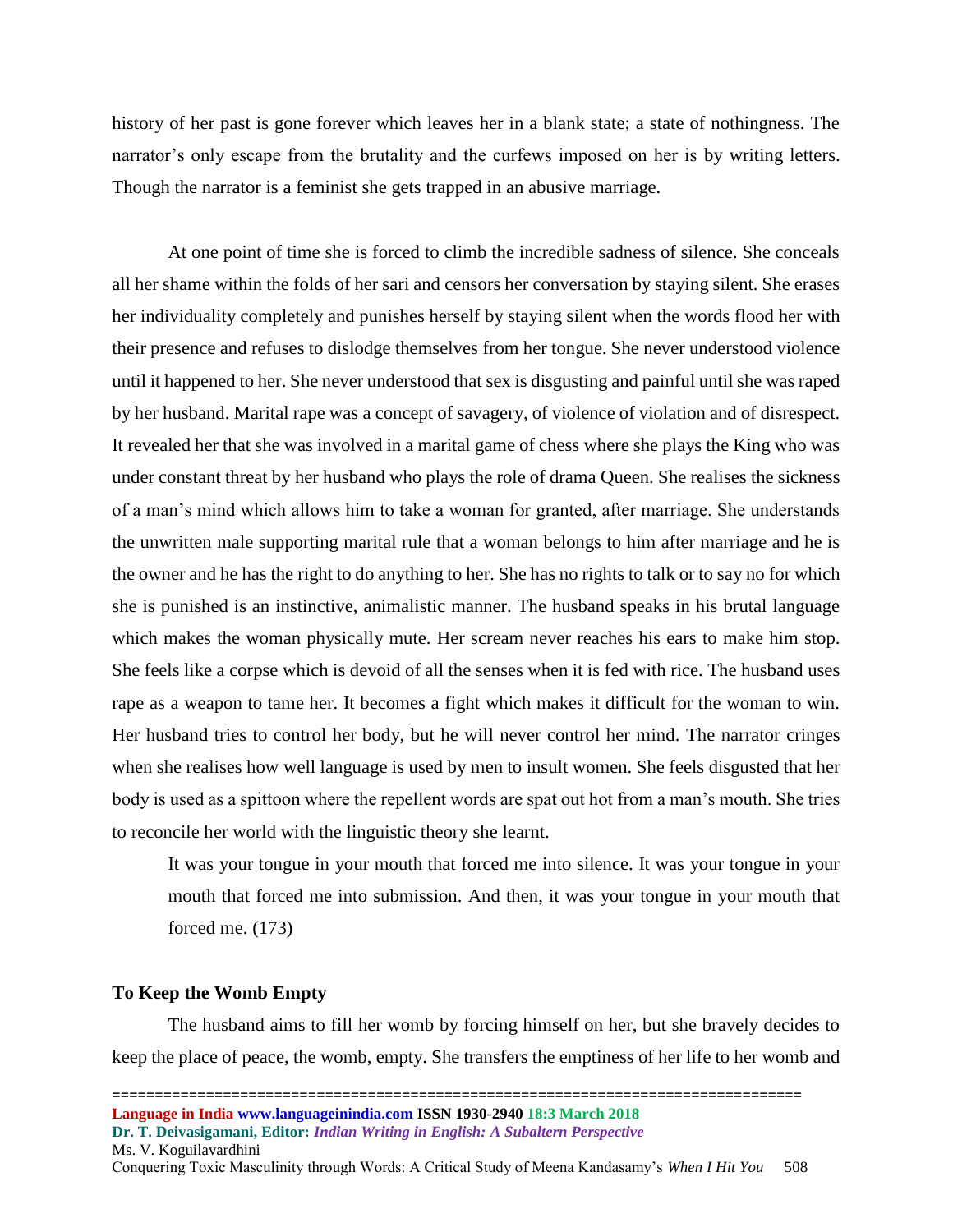history of her past is gone forever which leaves her in a blank state; a state of nothingness. The narrator's only escape from the brutality and the curfews imposed on her is by writing letters. Though the narrator is a feminist she gets trapped in an abusive marriage.

At one point of time she is forced to climb the incredible sadness of silence. She conceals all her shame within the folds of her sari and censors her conversation by staying silent. She erases her individuality completely and punishes herself by staying silent when the words flood her with their presence and refuses to dislodge themselves from her tongue. She never understood violence until it happened to her. She never understood that sex is disgusting and painful until she was raped by her husband. Marital rape was a concept of savagery, of violence of violation and of disrespect. It revealed her that she was involved in a marital game of chess where she plays the King who was under constant threat by her husband who plays the role of drama Queen. She realises the sickness of a man's mind which allows him to take a woman for granted, after marriage. She understands the unwritten male supporting marital rule that a woman belongs to him after marriage and he is the owner and he has the right to do anything to her. She has no rights to talk or to say no for which she is punished is an instinctive, animalistic manner. The husband speaks in his brutal language which makes the woman physically mute. Her scream never reaches his ears to make him stop. She feels like a corpse which is devoid of all the senses when it is fed with rice. The husband uses rape as a weapon to tame her. It becomes a fight which makes it difficult for the woman to win. Her husband tries to control her body, but he will never control her mind. The narrator cringes when she realises how well language is used by men to insult women. She feels disgusted that her body is used as a spittoon where the repellent words are spat out hot from a man's mouth. She tries to reconcile her world with the linguistic theory she learnt.

It was your tongue in your mouth that forced me into silence. It was your tongue in your mouth that forced me into submission. And then, it was your tongue in your mouth that forced me. (173)

#### **To Keep the Womb Empty**

The husband aims to fill her womb by forcing himself on her, but she bravely decides to keep the place of peace, the womb, empty. She transfers the emptiness of her life to her womb and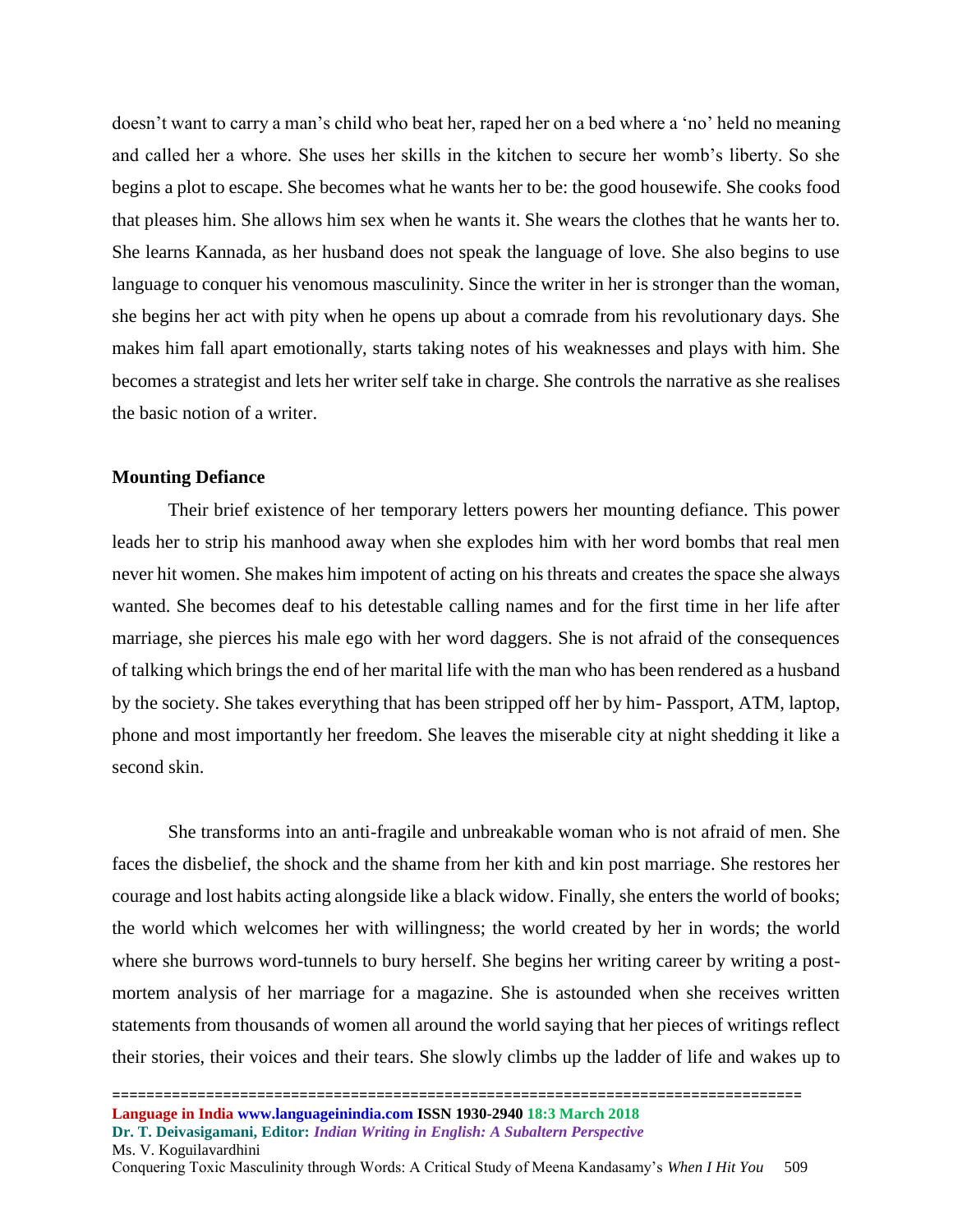doesn't want to carry a man's child who beat her, raped her on a bed where a 'no' held no meaning and called her a whore. She uses her skills in the kitchen to secure her womb's liberty. So she begins a plot to escape. She becomes what he wants her to be: the good housewife. She cooks food that pleases him. She allows him sex when he wants it. She wears the clothes that he wants her to. She learns Kannada, as her husband does not speak the language of love. She also begins to use language to conquer his venomous masculinity. Since the writer in her is stronger than the woman, she begins her act with pity when he opens up about a comrade from his revolutionary days. She makes him fall apart emotionally, starts taking notes of his weaknesses and plays with him. She becomes a strategist and lets her writer self take in charge. She controls the narrative as she realises the basic notion of a writer.

#### **Mounting Defiance**

Their brief existence of her temporary letters powers her mounting defiance. This power leads her to strip his manhood away when she explodes him with her word bombs that real men never hit women. She makes him impotent of acting on his threats and creates the space she always wanted. She becomes deaf to his detestable calling names and for the first time in her life after marriage, she pierces his male ego with her word daggers. She is not afraid of the consequences of talking which brings the end of her marital life with the man who has been rendered as a husband by the society. She takes everything that has been stripped off her by him- Passport, ATM, laptop, phone and most importantly her freedom. She leaves the miserable city at night shedding it like a second skin.

She transforms into an anti-fragile and unbreakable woman who is not afraid of men. She faces the disbelief, the shock and the shame from her kith and kin post marriage. She restores her courage and lost habits acting alongside like a black widow. Finally, she enters the world of books; the world which welcomes her with willingness; the world created by her in words; the world where she burrows word-tunnels to bury herself. She begins her writing career by writing a postmortem analysis of her marriage for a magazine. She is astounded when she receives written statements from thousands of women all around the world saying that her pieces of writings reflect their stories, their voices and their tears. She slowly climbs up the ladder of life and wakes up to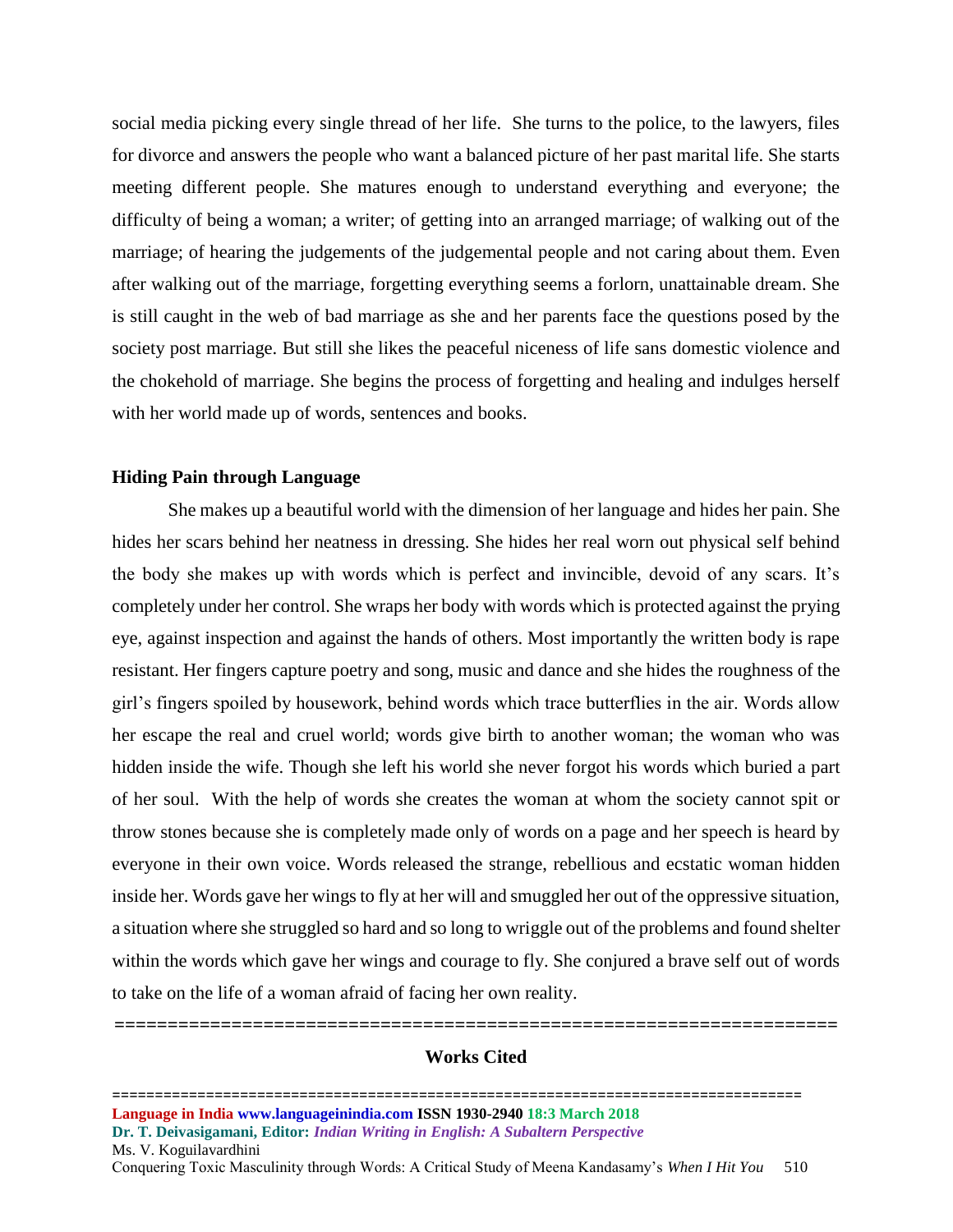social media picking every single thread of her life. She turns to the police, to the lawyers, files for divorce and answers the people who want a balanced picture of her past marital life. She starts meeting different people. She matures enough to understand everything and everyone; the difficulty of being a woman; a writer; of getting into an arranged marriage; of walking out of the marriage; of hearing the judgements of the judgemental people and not caring about them. Even after walking out of the marriage, forgetting everything seems a forlorn, unattainable dream. She is still caught in the web of bad marriage as she and her parents face the questions posed by the society post marriage. But still she likes the peaceful niceness of life sans domestic violence and the chokehold of marriage. She begins the process of forgetting and healing and indulges herself with her world made up of words, sentences and books.

#### **Hiding Pain through Language**

She makes up a beautiful world with the dimension of her language and hides her pain. She hides her scars behind her neatness in dressing. She hides her real worn out physical self behind the body she makes up with words which is perfect and invincible, devoid of any scars. It's completely under her control. She wraps her body with words which is protected against the prying eye, against inspection and against the hands of others. Most importantly the written body is rape resistant. Her fingers capture poetry and song, music and dance and she hides the roughness of the girl's fingers spoiled by housework, behind words which trace butterflies in the air. Words allow her escape the real and cruel world; words give birth to another woman; the woman who was hidden inside the wife. Though she left his world she never forgot his words which buried a part of her soul. With the help of words she creates the woman at whom the society cannot spit or throw stones because she is completely made only of words on a page and her speech is heard by everyone in their own voice. Words released the strange, rebellious and ecstatic woman hidden inside her. Words gave her wings to fly at her will and smuggled her out of the oppressive situation, a situation where she struggled so hard and so long to wriggle out of the problems and found shelter within the words which gave her wings and courage to fly. She conjured a brave self out of words to take on the life of a woman afraid of facing her own reality.

# **Works Cited**

**====================================================================**